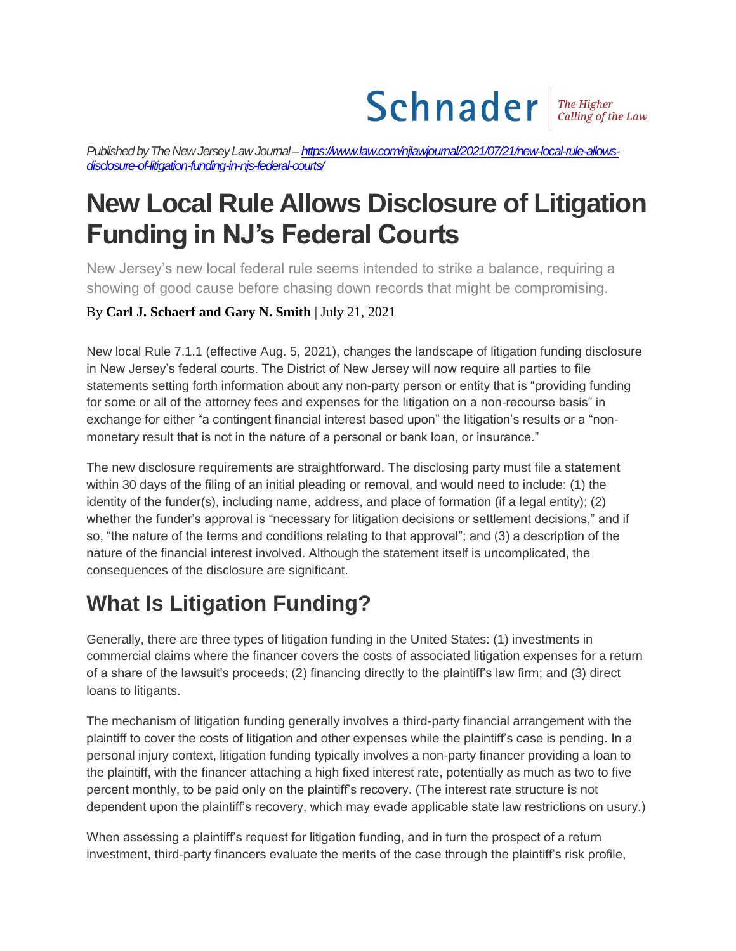# $Schnader$   $\frac{The Higher}{Calling of the Law}$

Published by The New Jersey Law Journal - https://www.law.com/njlawjournal/2021/07/21/new-local-rule-allows*[disclosure-of-litigation-funding-in-njs-federal-courts/](https://www.law.com/njlawjournal/2021/07/21/new-local-rule-allows-disclosure-of-litigation-funding-in-njs-federal-courts/)*

## **New Local Rule Allows Disclosure of Litigation Funding in NJ's Federal Courts**

New Jersey's new local federal rule seems intended to strike a balance, requiring a showing of good cause before chasing down records that might be compromising.

#### By **Carl J. Schaerf and Gary N. Smith** | July 21, 2021

New local Rule 7.1.1 (effective Aug. 5, 2021), changes the landscape of litigation funding disclosure in New Jersey's federal courts. The District of New Jersey will now require all parties to file statements setting forth information about any non-party person or entity that is "providing funding for some or all of the attorney fees and expenses for the litigation on a non-recourse basis" in exchange for either "a contingent financial interest based upon" the litigation's results or a "nonmonetary result that is not in the nature of a personal or bank loan, or insurance."

The new disclosure requirements are straightforward. The disclosing party must file a statement within 30 days of the filing of an initial pleading or removal, and would need to include: (1) the identity of the funder(s), including name, address, and place of formation (if a legal entity); (2) whether the funder's approval is "necessary for litigation decisions or settlement decisions," and if so, "the nature of the terms and conditions relating to that approval"; and (3) a description of the nature of the financial interest involved. Although the statement itself is uncomplicated, the consequences of the disclosure are significant.

#### **What Is Litigation Funding?**

Generally, there are three types of litigation funding in the United States: (1) investments in commercial claims where the financer covers the costs of associated litigation expenses for a return of a share of the lawsuit's proceeds; (2) financing directly to the plaintiff's law firm; and (3) direct loans to litigants.

The mechanism of litigation funding generally involves a third-party financial arrangement with the plaintiff to cover the costs of litigation and other expenses while the plaintiff's case is pending. In a personal injury context, litigation funding typically involves a non-party financer providing a loan to the plaintiff, with the financer attaching a high fixed interest rate, potentially as much as two to five percent monthly, to be paid only on the plaintiff's recovery. (The interest rate structure is not dependent upon the plaintiff's recovery, which may evade applicable state law restrictions on usury.)

When assessing a plaintiff's request for litigation funding, and in turn the prospect of a return investment, third-party financers evaluate the merits of the case through the plaintiff's risk profile,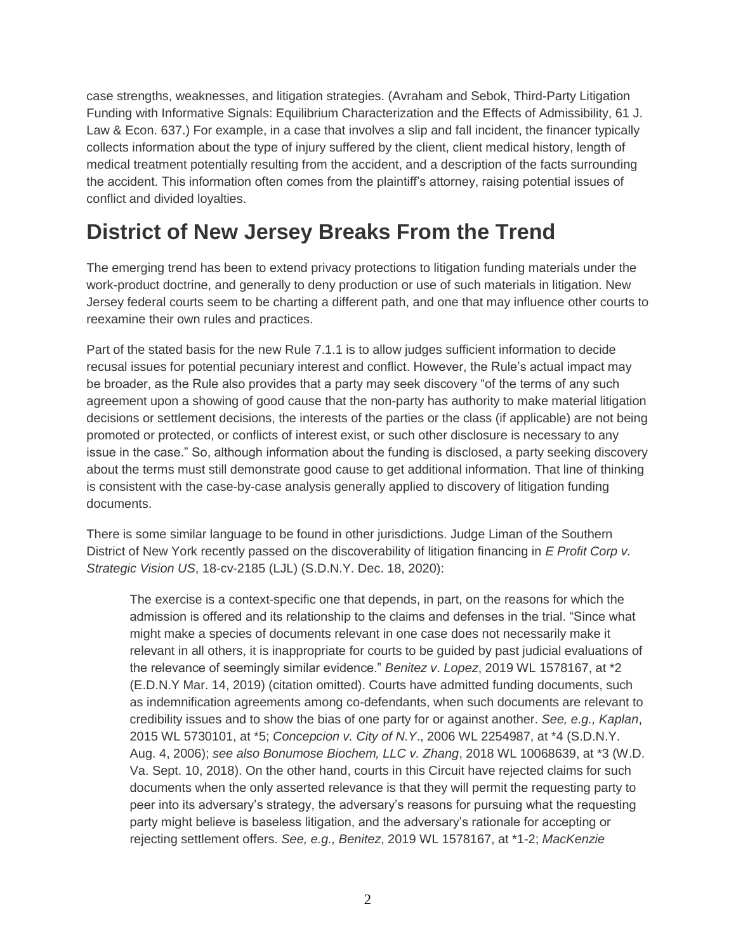case strengths, weaknesses, and litigation strategies. (Avraham and Sebok, Third-Party Litigation Funding with Informative Signals: Equilibrium Characterization and the Effects of Admissibility, 61 J. Law & Econ. 637.) For example, in a case that involves a slip and fall incident, the financer typically collects information about the type of injury suffered by the client, client medical history, length of medical treatment potentially resulting from the accident, and a description of the facts surrounding the accident. This information often comes from the plaintiff's attorney, raising potential issues of conflict and divided loyalties.

### **District of New Jersey Breaks From the Trend**

The emerging trend has been to extend privacy protections to litigation funding materials under the work-product doctrine, and generally to deny production or use of such materials in litigation. New Jersey federal courts seem to be charting a different path, and one that may influence other courts to reexamine their own rules and practices.

Part of the stated basis for the new Rule 7.1.1 is to allow judges sufficient information to decide recusal issues for potential pecuniary interest and conflict. However, the Rule's actual impact may be broader, as the Rule also provides that a party may seek discovery "of the terms of any such agreement upon a showing of good cause that the non-party has authority to make material litigation decisions or settlement decisions, the interests of the parties or the class (if applicable) are not being promoted or protected, or conflicts of interest exist, or such other disclosure is necessary to any issue in the case." So, although information about the funding is disclosed, a party seeking discovery about the terms must still demonstrate good cause to get additional information. That line of thinking is consistent with the case-by-case analysis generally applied to discovery of litigation funding documents.

There is some similar language to be found in other jurisdictions. Judge Liman of the Southern District of New York recently passed on the discoverability of litigation financing in *E Profit Corp v. Strategic Vision US*, 18-cv-2185 (LJL) (S.D.N.Y. Dec. 18, 2020):

The exercise is a context-specific one that depends, in part, on the reasons for which the admission is offered and its relationship to the claims and defenses in the trial. "Since what might make a species of documents relevant in one case does not necessarily make it relevant in all others, it is inappropriate for courts to be guided by past judicial evaluations of the relevance of seemingly similar evidence." *Benitez v*. *Lopez*, 2019 WL 1578167, at \*2 (E.D.N.Y Mar. 14, 2019) (citation omitted). Courts have admitted funding documents, such as indemnification agreements among co-defendants, when such documents are relevant to credibility issues and to show the bias of one party for or against another. *See, e.g., Kaplan*, 2015 WL 5730101, at \*5; *Concepcion v. City of N.Y*., 2006 WL 2254987, at \*4 (S.D.N.Y. Aug. 4, 2006); *see also Bonumose Biochem, LLC v. Zhang*, 2018 WL 10068639, at \*3 (W.D. Va. Sept. 10, 2018). On the other hand, courts in this Circuit have rejected claims for such documents when the only asserted relevance is that they will permit the requesting party to peer into its adversary's strategy, the adversary's reasons for pursuing what the requesting party might believe is baseless litigation, and the adversary's rationale for accepting or rejecting settlement offers. *See, e.g., Benitez*, 2019 WL 1578167, at \*1-2; *MacKenzie*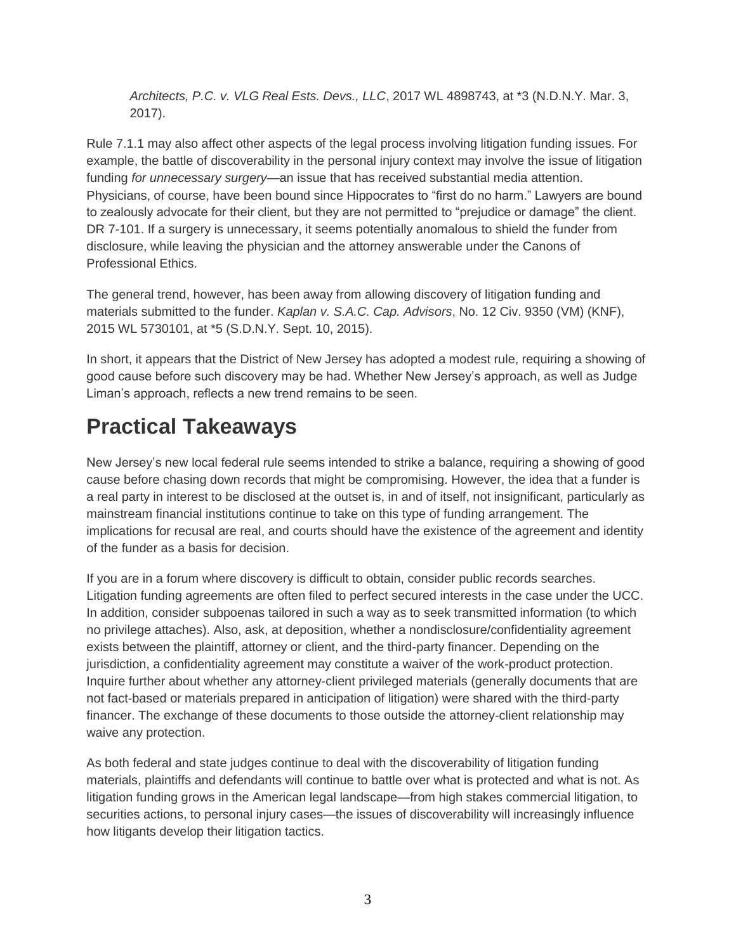*Architects, P.C. v. VLG Real Ests. Devs., LLC*, 2017 WL 4898743, at \*3 (N.D.N.Y. Mar. 3, 2017).

Rule 7.1.1 may also affect other aspects of the legal process involving litigation funding issues. For example, the battle of discoverability in the personal injury context may involve the issue of litigation funding *for unnecessary surgery—*an issue that has received substantial media attention. Physicians, of course, have been bound since Hippocrates to "first do no harm." Lawyers are bound to zealously advocate for their client, but they are not permitted to "prejudice or damage" the client. DR 7-101. If a surgery is unnecessary, it seems potentially anomalous to shield the funder from disclosure, while leaving the physician and the attorney answerable under the Canons of Professional Ethics.

The general trend, however, has been away from allowing discovery of litigation funding and materials submitted to the funder. *Kaplan v. S.A.C. Cap. Advisors*, No. 12 Civ. 9350 (VM) (KNF), 2015 WL 5730101, at \*5 (S.D.N.Y. Sept. 10, 2015).

In short, it appears that the District of New Jersey has adopted a modest rule, requiring a showing of good cause before such discovery may be had. Whether New Jersey's approach, as well as Judge Liman's approach, reflects a new trend remains to be seen.

### **Practical Takeaways**

New Jersey's new local federal rule seems intended to strike a balance, requiring a showing of good cause before chasing down records that might be compromising. However, the idea that a funder is a real party in interest to be disclosed at the outset is, in and of itself, not insignificant, particularly as mainstream financial institutions continue to take on this type of funding arrangement. The implications for recusal are real, and courts should have the existence of the agreement and identity of the funder as a basis for decision.

If you are in a forum where discovery is difficult to obtain, consider public records searches. Litigation funding agreements are often filed to perfect secured interests in the case under the UCC. In addition, consider subpoenas tailored in such a way as to seek transmitted information (to which no privilege attaches). Also, ask, at deposition, whether a nondisclosure/confidentiality agreement exists between the plaintiff, attorney or client, and the third-party financer. Depending on the jurisdiction, a confidentiality agreement may constitute a waiver of the work-product protection. Inquire further about whether any attorney-client privileged materials (generally documents that are not fact-based or materials prepared in anticipation of litigation) were shared with the third-party financer. The exchange of these documents to those outside the attorney-client relationship may waive any protection.

As both federal and state judges continue to deal with the discoverability of litigation funding materials, plaintiffs and defendants will continue to battle over what is protected and what is not. As litigation funding grows in the American legal landscape—from high stakes commercial litigation, to securities actions, to personal injury cases—the issues of discoverability will increasingly influence how litigants develop their litigation tactics.